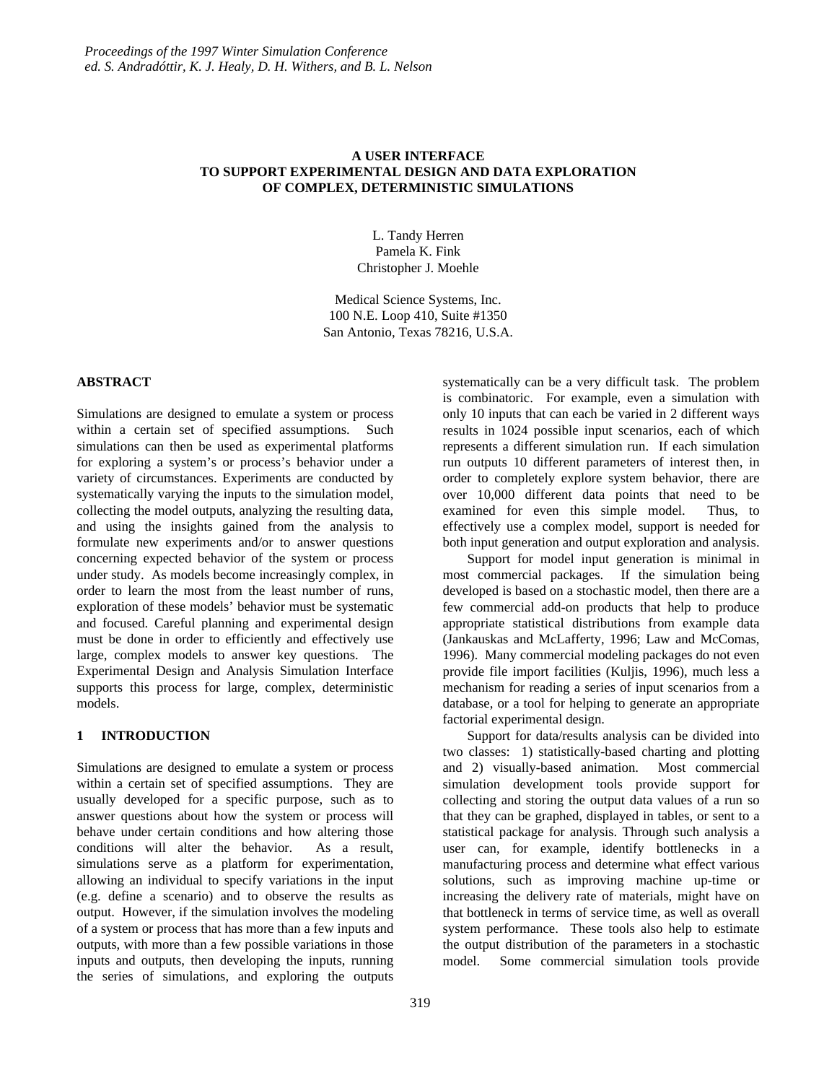## **A USER INTERFACE TO SUPPORT EXPERIMENTAL DESIGN AND DATA EXPLORATION OF COMPLEX, DETERMINISTIC SIMULATIONS**

L. Tandy Herren Pamela K. Fink Christopher J. Moehle

Medical Science Systems, Inc. 100 N.E. Loop 410, Suite #1350 San Antonio, Texas 78216, U.S.A.

## **ABSTRACT**

Simulations are designed to emulate a system or process within a certain set of specified assumptions. Such simulations can then be used as experimental platforms for exploring a system's or process's behavior under a variety of circumstances. Experiments are conducted by systematically varying the inputs to the simulation model, collecting the model outputs, analyzing the resulting data, and using the insights gained from the analysis to formulate new experiments and/or to answer questions concerning expected behavior of the system or process under study. As models become increasingly complex, in order to learn the most from the least number of runs, exploration of these models' behavior must be systematic and focused. Careful planning and experimental design must be done in order to efficiently and effectively use large, complex models to answer key questions. The Experimental Design and Analysis Simulation Interface supports this process for large, complex, deterministic models.

## **1 INTRODUCTION**

Simulations are designed to emulate a system or process within a certain set of specified assumptions. They are usually developed for a specific purpose, such as to answer questions about how the system or process will behave under certain conditions and how altering those conditions will alter the behavior. As a result, simulations serve as a platform for experimentation, allowing an individual to specify variations in the input (e.g. define a scenario) and to observe the results as output. However, if the simulation involves the modeling of a system or process that has more than a few inputs and outputs, with more than a few possible variations in those inputs and outputs, then developing the inputs, running the series of simulations, and exploring the outputs systematically can be a very difficult task. The problem is combinatoric. For example, even a simulation with only 10 inputs that can each be varied in 2 different ways results in 1024 possible input scenarios, each of which represents a different simulation run. If each simulation run outputs 10 different parameters of interest then, in order to completely explore system behavior, there are over 10,000 different data points that need to be examined for even this simple model. Thus, to effectively use a complex model, support is needed for both input generation and output exploration and analysis.

Support for model input generation is minimal in most commercial packages. If the simulation being developed is based on a stochastic model, then there are a few commercial add-on products that help to produce appropriate statistical distributions from example data (Jankauskas and McLafferty, 1996; Law and McComas, 1996). Many commercial modeling packages do not even provide file import facilities (Kuljis, 1996), much less a mechanism for reading a series of input scenarios from a database, or a tool for helping to generate an appropriate factorial experimental design.

Support for data/results analysis can be divided into two classes: 1) statistically-based charting and plotting and 2) visually-based animation. Most commercial simulation development tools provide support for collecting and storing the output data values of a run so that they can be graphed, displayed in tables, or sent to a statistical package for analysis. Through such analysis a user can, for example, identify bottlenecks in a manufacturing process and determine what effect various solutions, such as improving machine up-time or increasing the delivery rate of materials, might have on that bottleneck in terms of service time, as well as overall system performance. These tools also help to estimate the output distribution of the parameters in a stochastic model. Some commercial simulation tools provide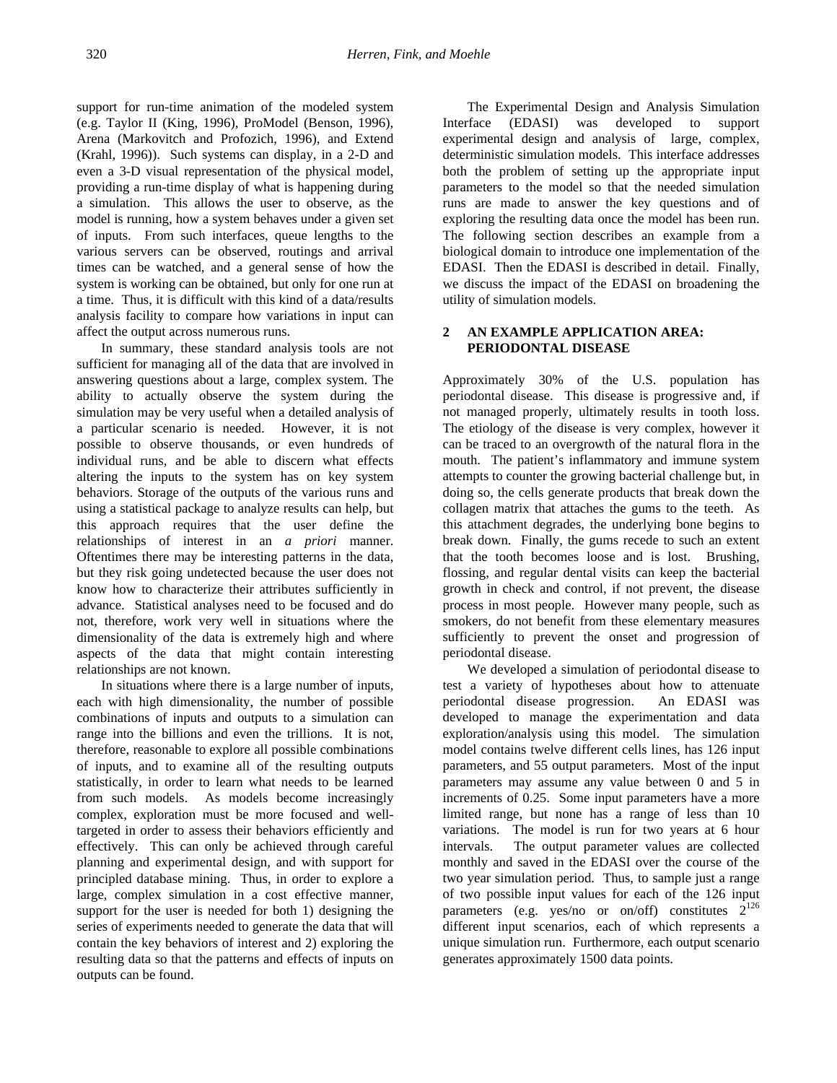support for run-time animation of the modeled system (e.g. Taylor II (King, 1996), ProModel (Benson, 1996), Arena (Markovitch and Profozich, 1996), and Extend (Krahl, 1996)). Such systems can display, in a 2-D and even a 3-D visual representation of the physical model, providing a run-time display of what is happening during a simulation. This allows the user to observe, as the model is running, how a system behaves under a given set of inputs. From such interfaces, queue lengths to the various servers can be observed, routings and arrival times can be watched, and a general sense of how the system is working can be obtained, but only for one run at a time. Thus, it is difficult with this kind of a data/results analysis facility to compare how variations in input can affect the output across numerous runs.

In summary, these standard analysis tools are not sufficient for managing all of the data that are involved in answering questions about a large, complex system. The ability to actually observe the system during the simulation may be very useful when a detailed analysis of a particular scenario is needed. However, it is not possible to observe thousands, or even hundreds of individual runs, and be able to discern what effects altering the inputs to the system has on key system behaviors. Storage of the outputs of the various runs and using a statistical package to analyze results can help, but this approach requires that the user define the relationships of interest in an *a priori* manner. Oftentimes there may be interesting patterns in the data, but they risk going undetected because the user does not know how to characterize their attributes sufficiently in advance. Statistical analyses need to be focused and do not, therefore, work very well in situations where the dimensionality of the data is extremely high and where aspects of the data that might contain interesting relationships are not known.

In situations where there is a large number of inputs, each with high dimensionality, the number of possible combinations of inputs and outputs to a simulation can range into the billions and even the trillions. It is not, therefore, reasonable to explore all possible combinations of inputs, and to examine all of the resulting outputs statistically, in order to learn what needs to be learned from such models. As models become increasingly complex, exploration must be more focused and welltargeted in order to assess their behaviors efficiently and effectively. This can only be achieved through careful planning and experimental design, and with support for principled database mining. Thus, in order to explore a large, complex simulation in a cost effective manner, support for the user is needed for both 1) designing the series of experiments needed to generate the data that will contain the key behaviors of interest and 2) exploring the resulting data so that the patterns and effects of inputs on outputs can be found.

The Experimental Design and Analysis Simulation Interface (EDASI) was developed to support experimental design and analysis of large, complex, deterministic simulation models. This interface addresses both the problem of setting up the appropriate input parameters to the model so that the needed simulation runs are made to answer the key questions and of exploring the resulting data once the model has been run. The following section describes an example from a biological domain to introduce one implementation of the EDASI. Then the EDASI is described in detail. Finally, we discuss the impact of the EDASI on broadening the utility of simulation models.

## **2 AN EXAMPLE APPLICATION AREA: PERIODONTAL DISEASE**

Approximately 30% of the U.S. population has periodontal disease. This disease is progressive and, if not managed properly, ultimately results in tooth loss. The etiology of the disease is very complex, however it can be traced to an overgrowth of the natural flora in the mouth. The patient's inflammatory and immune system attempts to counter the growing bacterial challenge but, in doing so, the cells generate products that break down the collagen matrix that attaches the gums to the teeth. As this attachment degrades, the underlying bone begins to break down. Finally, the gums recede to such an extent that the tooth becomes loose and is lost. Brushing, flossing, and regular dental visits can keep the bacterial growth in check and control, if not prevent, the disease process in most people. However many people, such as smokers, do not benefit from these elementary measures sufficiently to prevent the onset and progression of periodontal disease.

We developed a simulation of periodontal disease to test a variety of hypotheses about how to attenuate periodontal disease progression. An EDASI was developed to manage the experimentation and data exploration/analysis using this model. The simulation model contains twelve different cells lines, has 126 input parameters, and 55 output parameters. Most of the input parameters may assume any value between 0 and 5 in increments of 0.25. Some input parameters have a more limited range, but none has a range of less than 10 variations. The model is run for two years at 6 hour intervals. The output parameter values are collected monthly and saved in the EDASI over the course of the two year simulation period. Thus, to sample just a range of two possible input values for each of the 126 input parameters (e.g. yes/no or on/off) constitutes  $2^{126}$ different input scenarios, each of which represents a unique simulation run. Furthermore, each output scenario generates approximately 1500 data points.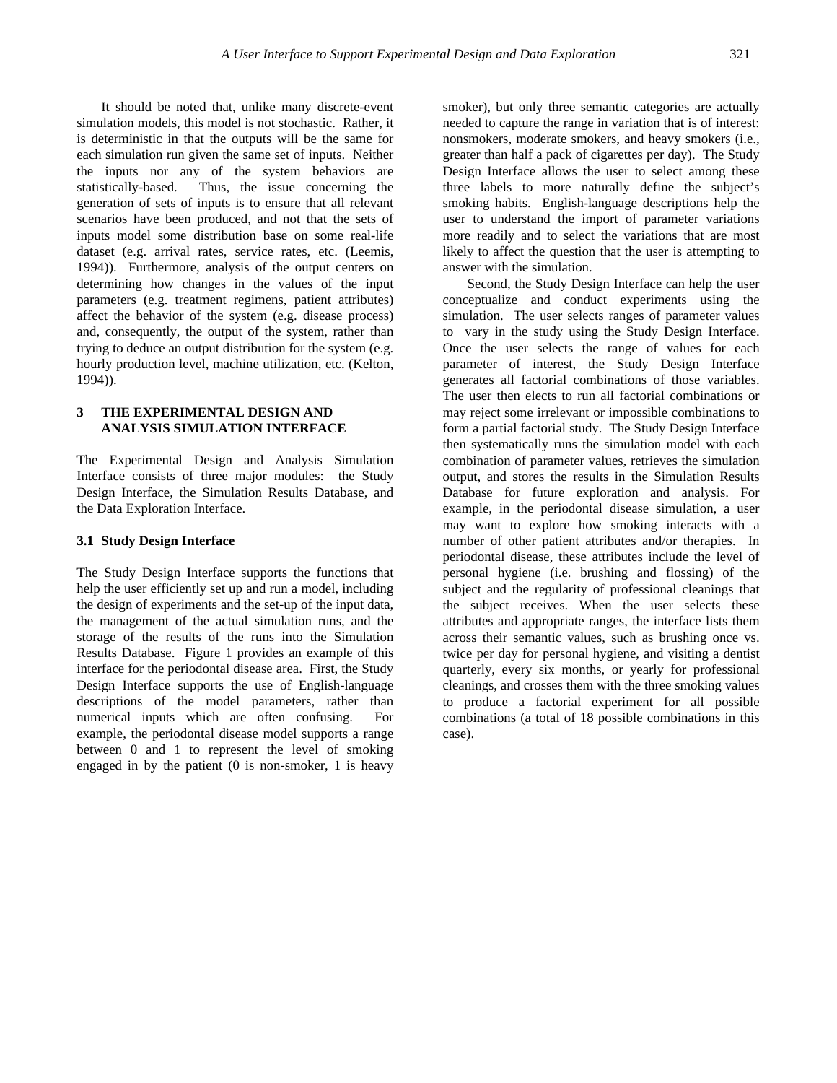It should be noted that, unlike many discrete-event simulation models, this model is not stochastic. Rather, it is deterministic in that the outputs will be the same for each simulation run given the same set of inputs. Neither the inputs nor any of the system behaviors are statistically-based. Thus, the issue concerning the generation of sets of inputs is to ensure that all relevant scenarios have been produced, and not that the sets of inputs model some distribution base on some real-life dataset (e.g. arrival rates, service rates, etc. (Leemis, 1994)). Furthermore, analysis of the output centers on determining how changes in the values of the input parameters (e.g. treatment regimens, patient attributes) affect the behavior of the system (e.g. disease process) and, consequently, the output of the system, rather than trying to deduce an output distribution for the system (e.g. hourly production level, machine utilization, etc. (Kelton, 1994)).

## **3 THE EXPERIMENTAL DESIGN AND ANALYSIS SIMULATION INTERFACE**

The Experimental Design and Analysis Simulation Interface consists of three major modules: the Study Design Interface, the Simulation Results Database, and the Data Exploration Interface.

## **3.1 Study Design Interface**

The Study Design Interface supports the functions that help the user efficiently set up and run a model, including the design of experiments and the set-up of the input data, the management of the actual simulation runs, and the storage of the results of the runs into the Simulation Results Database. Figure 1 provides an example of this interface for the periodontal disease area. First, the Study Design Interface supports the use of English-language descriptions of the model parameters, rather than numerical inputs which are often confusing. For example, the periodontal disease model supports a range between 0 and 1 to represent the level of smoking engaged in by the patient (0 is non-smoker, 1 is heavy

smoker), but only three semantic categories are actually needed to capture the range in variation that is of interest: nonsmokers, moderate smokers, and heavy smokers (i.e., greater than half a pack of cigarettes per day). The Study Design Interface allows the user to select among these three labels to more naturally define the subject's smoking habits. English-language descriptions help the user to understand the import of parameter variations more readily and to select the variations that are most likely to affect the question that the user is attempting to answer with the simulation.

Second, the Study Design Interface can help the user conceptualize and conduct experiments using the simulation. The user selects ranges of parameter values to vary in the study using the Study Design Interface. Once the user selects the range of values for each parameter of interest, the Study Design Interface generates all factorial combinations of those variables. The user then elects to run all factorial combinations or may reject some irrelevant or impossible combinations to form a partial factorial study. The Study Design Interface then systematically runs the simulation model with each combination of parameter values, retrieves the simulation output, and stores the results in the Simulation Results Database for future exploration and analysis. For example, in the periodontal disease simulation, a user may want to explore how smoking interacts with a number of other patient attributes and/or therapies. In periodontal disease, these attributes include the level of personal hygiene (i.e. brushing and flossing) of the subject and the regularity of professional cleanings that the subject receives. When the user selects these attributes and appropriate ranges, the interface lists them across their semantic values, such as brushing once vs. twice per day for personal hygiene, and visiting a dentist quarterly, every six months, or yearly for professional cleanings, and crosses them with the three smoking values to produce a factorial experiment for all possible combinations (a total of 18 possible combinations in this case).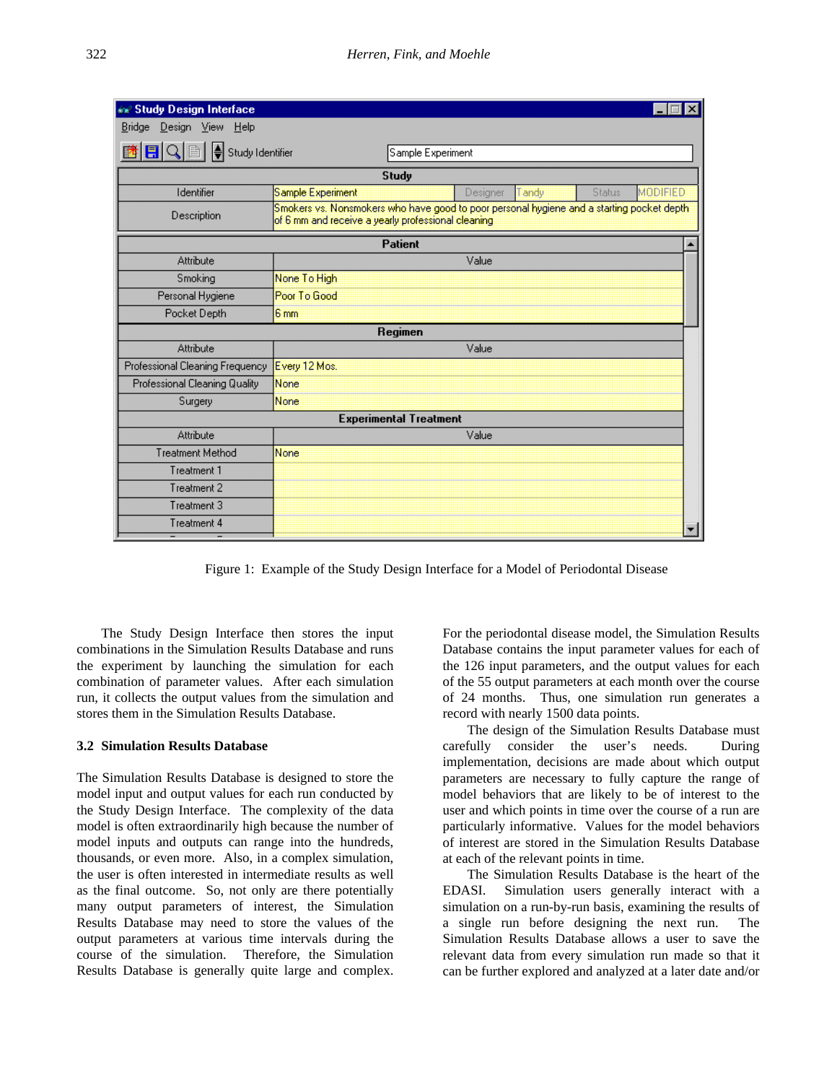| 62 Study Design Interface                    |                                                                                                                                                 |
|----------------------------------------------|-------------------------------------------------------------------------------------------------------------------------------------------------|
| Bridge Design View Help                      |                                                                                                                                                 |
| BQB<br>Study Identifier<br>Sample Experiment |                                                                                                                                                 |
| <b>Study</b>                                 |                                                                                                                                                 |
| Identifier                                   | Sample Experiment<br>MODIFIED<br>Tandy<br><b>Status</b><br>Designer                                                                             |
| Description                                  | Smokers vs. Nonsmokers who have good to poor personal hygiene and a starting pocket depth<br>of 6 mm and receive a yearly professional cleaning |
| <b>Patient</b>                               |                                                                                                                                                 |
| Attribute                                    | Value                                                                                                                                           |
| Smoking                                      | None To High                                                                                                                                    |
| Personal Hygiene                             | Poor To Good                                                                                                                                    |
| Pocket Depth                                 | 6 <sub>mm</sub>                                                                                                                                 |
| Regimen                                      |                                                                                                                                                 |
| Attribute                                    | Value                                                                                                                                           |
| Professional Cleaning Frequency              | Every 12 Mos.                                                                                                                                   |
| Professional Cleaning Quality                | None                                                                                                                                            |
| Surgery                                      | None                                                                                                                                            |
| <b>Experimental Treatment</b>                |                                                                                                                                                 |
| Attribute                                    | Value                                                                                                                                           |
| <b>Treatment Method</b>                      | None                                                                                                                                            |
| Treatment 1                                  |                                                                                                                                                 |
| Treatment 2                                  |                                                                                                                                                 |
| Treatment 3                                  |                                                                                                                                                 |
| Treatment 4                                  | $\blacktriangledown$                                                                                                                            |
|                                              |                                                                                                                                                 |

Figure 1: Example of the Study Design Interface for a Model of Periodontal Disease

The Study Design Interface then stores the input combinations in the Simulation Results Database and runs the experiment by launching the simulation for each combination of parameter values. After each simulation run, it collects the output values from the simulation and stores them in the Simulation Results Database.

## **3.2 Simulation Results Database**

The Simulation Results Database is designed to store the model input and output values for each run conducted by the Study Design Interface. The complexity of the data model is often extraordinarily high because the number of model inputs and outputs can range into the hundreds, thousands, or even more. Also, in a complex simulation, the user is often interested in intermediate results as well as the final outcome. So, not only are there potentially many output parameters of interest, the Simulation Results Database may need to store the values of the output parameters at various time intervals during the course of the simulation. Therefore, the Simulation Results Database is generally quite large and complex.

For the periodontal disease model, the Simulation Results Database contains the input parameter values for each of the 126 input parameters, and the output values for each of the 55 output parameters at each month over the course of 24 months. Thus, one simulation run generates a record with nearly 1500 data points.

The design of the Simulation Results Database must carefully consider the user's needs. During implementation, decisions are made about which output parameters are necessary to fully capture the range of model behaviors that are likely to be of interest to the user and which points in time over the course of a run are particularly informative. Values for the model behaviors of interest are stored in the Simulation Results Database at each of the relevant points in time.

The Simulation Results Database is the heart of the EDASI. Simulation users generally interact with a simulation on a run-by-run basis, examining the results of a single run before designing the next run. The Simulation Results Database allows a user to save the relevant data from every simulation run made so that it can be further explored and analyzed at a later date and/or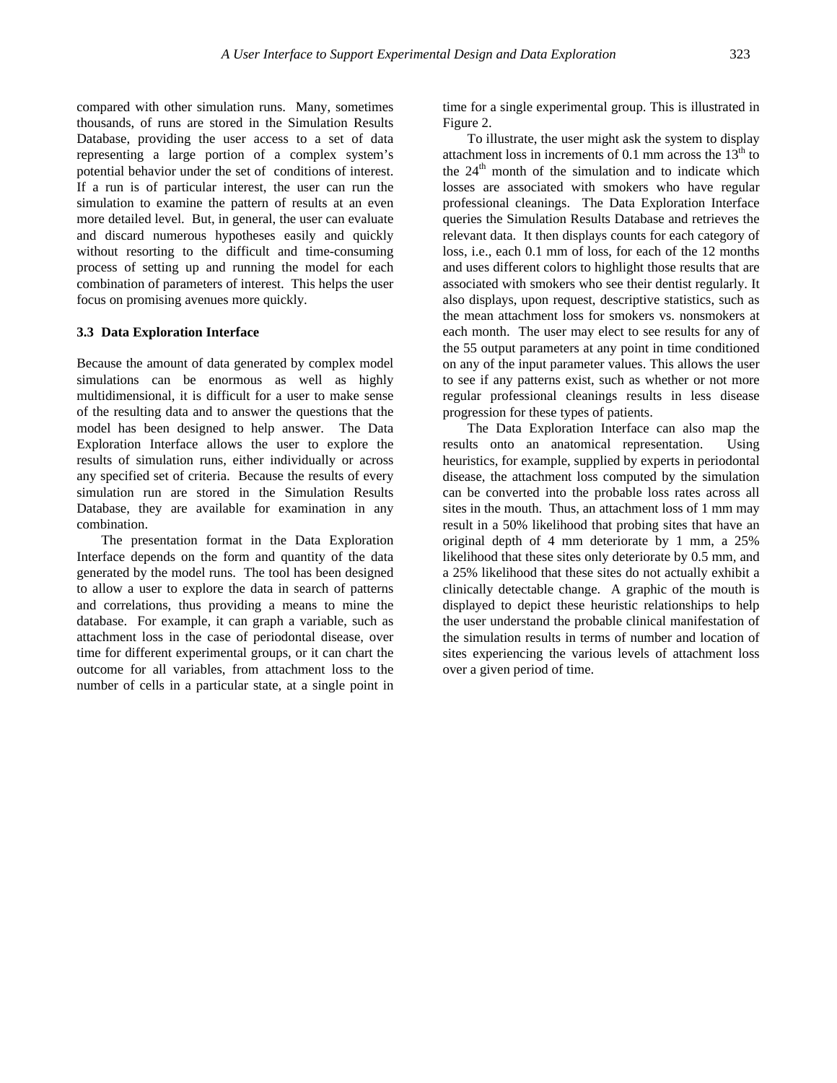compared with other simulation runs. Many, sometimes thousands, of runs are stored in the Simulation Results Database, providing the user access to a set of data representing a large portion of a complex system's potential behavior under the set of conditions of interest. If a run is of particular interest, the user can run the simulation to examine the pattern of results at an even more detailed level. But, in general, the user can evaluate and discard numerous hypotheses easily and quickly without resorting to the difficult and time-consuming process of setting up and running the model for each combination of parameters of interest. This helps the user focus on promising avenues more quickly.

#### **3.3 Data Exploration Interface**

Because the amount of data generated by complex model simulations can be enormous as well as highly multidimensional, it is difficult for a user to make sense of the resulting data and to answer the questions that the model has been designed to help answer. The Data Exploration Interface allows the user to explore the results of simulation runs, either individually or across any specified set of criteria. Because the results of every simulation run are stored in the Simulation Results Database, they are available for examination in any combination.

The presentation format in the Data Exploration Interface depends on the form and quantity of the data generated by the model runs. The tool has been designed to allow a user to explore the data in search of patterns and correlations, thus providing a means to mine the database. For example, it can graph a variable, such as attachment loss in the case of periodontal disease, over time for different experimental groups, or it can chart the outcome for all variables, from attachment loss to the number of cells in a particular state, at a single point in

time for a single experimental group. This is illustrated in Figure 2.

To illustrate, the user might ask the system to display attachment loss in increments of 0.1 mm across the  $13<sup>th</sup>$  to the  $24<sup>th</sup>$  month of the simulation and to indicate which losses are associated with smokers who have regular professional cleanings. The Data Exploration Interface queries the Simulation Results Database and retrieves the relevant data. It then displays counts for each category of loss, i.e., each 0.1 mm of loss, for each of the 12 months and uses different colors to highlight those results that are associated with smokers who see their dentist regularly. It also displays, upon request, descriptive statistics, such as the mean attachment loss for smokers vs. nonsmokers at each month. The user may elect to see results for any of the 55 output parameters at any point in time conditioned on any of the input parameter values. This allows the user to see if any patterns exist, such as whether or not more regular professional cleanings results in less disease progression for these types of patients.

The Data Exploration Interface can also map the results onto an anatomical representation. Using heuristics, for example, supplied by experts in periodontal disease, the attachment loss computed by the simulation can be converted into the probable loss rates across all sites in the mouth. Thus, an attachment loss of 1 mm may result in a 50% likelihood that probing sites that have an original depth of 4 mm deteriorate by 1 mm, a 25% likelihood that these sites only deteriorate by 0.5 mm, and a 25% likelihood that these sites do not actually exhibit a clinically detectable change. A graphic of the mouth is displayed to depict these heuristic relationships to help the user understand the probable clinical manifestation of the simulation results in terms of number and location of sites experiencing the various levels of attachment loss over a given period of time.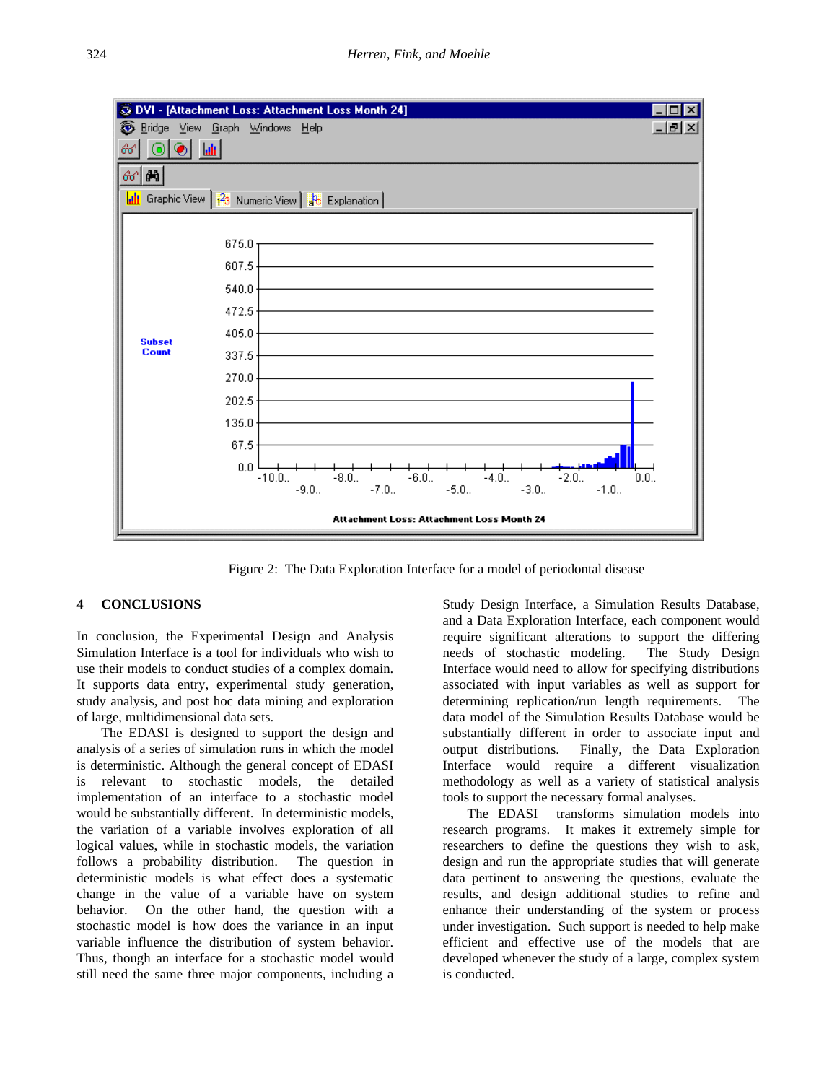

Figure 2: The Data Exploration Interface for a model of periodontal disease

# **4 CONCLUSIONS**

In conclusion, the Experimental Design and Analysis Simulation Interface is a tool for individuals who wish to use their models to conduct studies of a complex domain. It supports data entry, experimental study generation, study analysis, and post hoc data mining and exploration of large, multidimensional data sets.

The EDASI is designed to support the design and analysis of a series of simulation runs in which the model is deterministic. Although the general concept of EDASI is relevant to stochastic models, the detailed implementation of an interface to a stochastic model would be substantially different. In deterministic models, the variation of a variable involves exploration of all logical values, while in stochastic models, the variation follows a probability distribution. The question in deterministic models is what effect does a systematic change in the value of a variable have on system behavior. On the other hand, the question with a stochastic model is how does the variance in an input variable influence the distribution of system behavior. Thus, though an interface for a stochastic model would still need the same three major components, including a Study Design Interface, a Simulation Results Database, and a Data Exploration Interface, each component would require significant alterations to support the differing needs of stochastic modeling. The Study Design Interface would need to allow for specifying distributions associated with input variables as well as support for determining replication/run length requirements. The data model of the Simulation Results Database would be substantially different in order to associate input and output distributions. Finally, the Data Exploration Interface would require a different visualization methodology as well as a variety of statistical analysis tools to support the necessary formal analyses.

The EDASI transforms simulation models into research programs. It makes it extremely simple for researchers to define the questions they wish to ask, design and run the appropriate studies that will generate data pertinent to answering the questions, evaluate the results, and design additional studies to refine and enhance their understanding of the system or process under investigation. Such support is needed to help make efficient and effective use of the models that are developed whenever the study of a large, complex system is conducted.